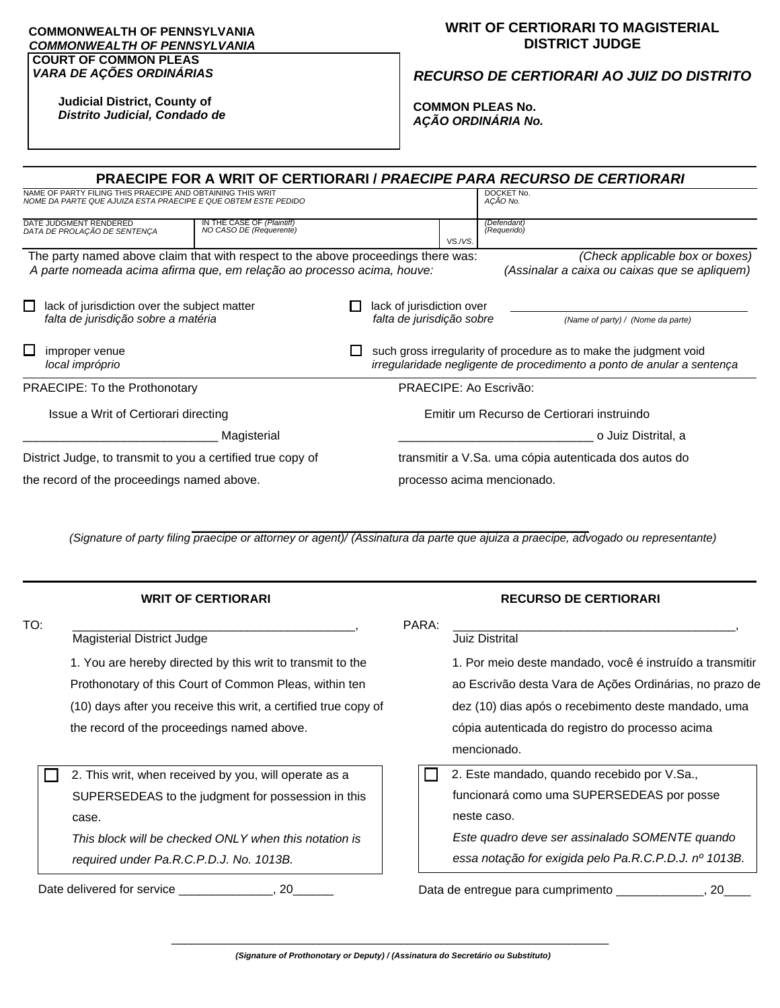#### **COMMONWEALTH OF PENNSYLVANIA**  *COMMONWEALTH OF PENNSYLVANIA* **COURT OF COMMON PLEAS**

#### *VARA DE AÇÕES ORDINÁRIAS*

# **WRIT OF CERTIORARI TO MAGISTERIAL DISTRICT JUDGE**

### *RECURSO DE CERTIORARI AO JUIZ DO DISTRITO*

**Judicial District, County of** *Distrito Judicial, Condado de*

**COMMON PLEAS No.** *AÇÃO ORDINÁRIA No.*

| PRAECIPE FOR A WRIT OF CERTIORARI / PRAECIPE PARA RECURSO DE CERTIORARI                                                                                     |  |  |                                                        |                                                                                                                                             |                                                                                  |  |  |  |
|-------------------------------------------------------------------------------------------------------------------------------------------------------------|--|--|--------------------------------------------------------|---------------------------------------------------------------------------------------------------------------------------------------------|----------------------------------------------------------------------------------|--|--|--|
| NAME OF PARTY FILING THIS PRAECIPE AND OBTAINING THIS WRIT<br>NOME DA PARTE QUE AJUIZA ESTA PRAECIPE E QUE OBTEM ESTE PEDIDO                                |  |  | DOCKET No.<br>ACÃO No.                                 |                                                                                                                                             |                                                                                  |  |  |  |
| IN THE CASE OF (Plaintiff)<br>NO CASO DE (Requerente)<br>DATE JUDGMENT RENDERED<br>DATA DE PROLAÇÃO DE SENTENÇA                                             |  |  |                                                        | VS./VS.                                                                                                                                     | (Defendant)<br>(Requerido)                                                       |  |  |  |
| The party named above claim that with respect to the above proceedings there was:<br>A parte nomeada acima afirma que, em relação ao processo acima, houve: |  |  |                                                        |                                                                                                                                             | (Check applicable box or boxes)<br>(Assinalar a caixa ou caixas que se apliquem) |  |  |  |
| lack of jurisdiction over the subject matter<br>$\mathbf{I}$<br>falta de jurisdição sobre a matéria                                                         |  |  | lack of jurisdiction over<br>falta de jurisdição sobre |                                                                                                                                             | (Name of party) / (Nome da parte)                                                |  |  |  |
| $\Box$<br>improper venue<br>local impróprio                                                                                                                 |  |  |                                                        | such gross irregularity of procedure as to make the judgment void<br>irregularidade negligente de procedimento a ponto de anular a sentença |                                                                                  |  |  |  |
| <b>PRAECIPE: To the Prothonotary</b>                                                                                                                        |  |  | PRAECIPE: Ao Escrivão:                                 |                                                                                                                                             |                                                                                  |  |  |  |
| Issue a Writ of Certiorari directing                                                                                                                        |  |  | Emitir um Recurso de Certiorari instruindo             |                                                                                                                                             |                                                                                  |  |  |  |
| Magisterial                                                                                                                                                 |  |  |                                                        |                                                                                                                                             | o Juiz Distrital, a                                                              |  |  |  |
| District Judge, to transmit to you a certified true copy of                                                                                                 |  |  |                                                        | transmitir a V.Sa. uma cópia autenticada dos autos do                                                                                       |                                                                                  |  |  |  |
| the record of the proceedings named above.                                                                                                                  |  |  |                                                        | processo acima mencionado.                                                                                                                  |                                                                                  |  |  |  |

**\_\_\_\_\_\_\_\_\_\_\_\_\_\_\_\_\_\_\_\_\_\_\_\_\_\_\_\_\_\_\_\_\_\_\_\_\_\_\_\_\_\_\_\_\_\_\_\_\_\_\_\_\_\_\_\_\_\_\_** *(Signature of party filing praecipe or attorney or agent)/ (Assinatura da parte que ajuiza a praecipe, advogado ou representante)*

| <b>WRIT OF CERTIORARI</b> |                                                                                                                           |       | <b>RECURSO DE CERTIORARI</b>                                                                                   |  |  |  |
|---------------------------|---------------------------------------------------------------------------------------------------------------------------|-------|----------------------------------------------------------------------------------------------------------------|--|--|--|
| TO:                       |                                                                                                                           | PARA: |                                                                                                                |  |  |  |
|                           | Magisterial District Judge                                                                                                |       | <b>Juiz Distrital</b>                                                                                          |  |  |  |
|                           | 1. You are hereby directed by this writ to transmit to the                                                                |       | 1. Por meio deste mandado, você é instruído a transmitir                                                       |  |  |  |
|                           | Prothonotary of this Court of Common Pleas, within ten<br>(10) days after you receive this writ, a certified true copy of |       | ao Escrivão desta Vara de Ações Ordinárias, no prazo de<br>dez (10) dias após o recebimento deste mandado, uma |  |  |  |
|                           |                                                                                                                           |       |                                                                                                                |  |  |  |
|                           | the record of the proceedings named above.                                                                                |       | cópia autenticada do registro do processo acima                                                                |  |  |  |
|                           |                                                                                                                           |       | mencionado.                                                                                                    |  |  |  |
|                           | 2. This writ, when received by you, will operate as a                                                                     |       | 2. Este mandado, quando recebido por V.Sa.,                                                                    |  |  |  |
|                           | SUPERSEDEAS to the judgment for possession in this                                                                        |       | funcionará como uma SUPERSEDEAS por posse                                                                      |  |  |  |
|                           | case.                                                                                                                     |       | neste caso.                                                                                                    |  |  |  |
|                           | This block will be checked ONLY when this notation is                                                                     |       | Este quadro deve ser assinalado SOMENTE quando                                                                 |  |  |  |
|                           | required under Pa.R.C.P.D.J. No. 1013B.                                                                                   |       | essa notação for exigida pelo Pa.R.C.P.D.J. nº 1013B.                                                          |  |  |  |